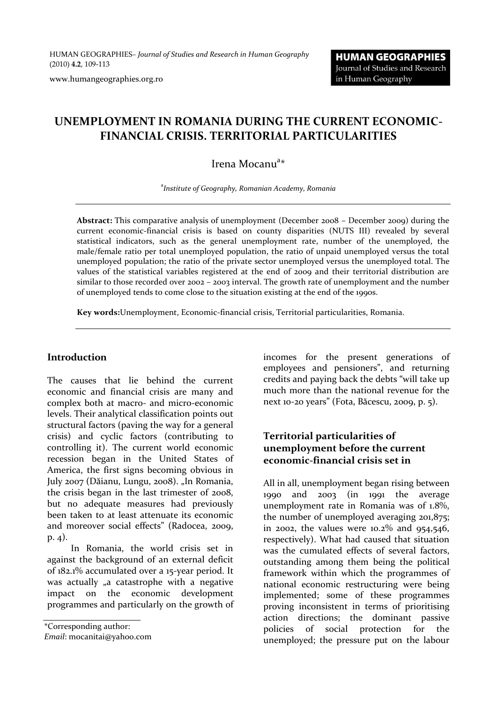HUMAN GEOGRAPHIES*– Journal of Studies and Research in Human Geography* (2010) **4.2**, 109-113

www.humangeographies.org.ro

# **UNEMPLOYMENT IN ROMANIA DURING THE CURRENT ECONOMIC-FINANCIAL CRISIS. TERRITORIAL PARTICULARITIES**

Irena Mocanu<sup>a\*</sup>

a *Institute of Geography, Romanian Academy, Romania*

**Abstract:** This comparative analysis of unemployment (December 2008 – December 2009) during the current economic-financial crisis is based on county disparities (NUTS III) revealed by several statistical indicators, such as the general unemployment rate, number of the unemployed, the male/female ratio per total unemployed population, the ratio of unpaid unemployed versus the total unemployed population; the ratio of the private sector unemployed versus the unemployed total. The values of the statistical variables registered at the end of 2009 and their territorial distribution are similar to those recorded over 2002 – 2003 interval. The growth rate of unemployment and the number of unemployed tends to come close to the situation existing at the end of the 1990s.

**Key words:**Unemployment, Economic-financial crisis, Territorial particularities, Romania.

#### **Introduction**

The causes that lie behind the current economic and financial crisis are many and complex both at macro- and micro-economic levels. Their analytical classification points out structural factors (paving the way for a general crisis) and cyclic factors (contributing to controlling it). The current world economic recession began in the United States of America, the first signs becoming obvious in July 2007 (Dăianu, Lungu, 2008). "In Romania, the crisis began in the last trimester of 2008, but no adequate measures had previously been taken to at least attenuate its economic and moreover social effects" (Radocea, 2009, p. 4).

In Romania, the world crisis set in against the background of an external deficit of 182.1% accumulated over a 15-year period. It was actually "a catastrophe with a negative impact on the economic development programmes and particularly on the growth of

\*Corresponding author:

*Email*: mocanitai@yahoo.com

incomes for the present generations of employees and pensioners", and returning credits and paying back the debts "will take up much more than the national revenue for the next 10-20 years" (Fota, Băcescu, 2009, p. 5).

### **Territorial particularities of unemployment before the current economic-financial crisis set in**

All in all, unemployment began rising between 1990 and 2003 (in 1991 the average unemployment rate in Romania was of 1.8%, the number of unemployed averaging 201,875; in 2002, the values were  $10.2\%$  and  $954,546$ , respectively). What had caused that situation was the cumulated effects of several factors, outstanding among them being the political framework within which the programmes of national economic restructuring were being implemented; some of these programmes proving inconsistent in terms of prioritising action directions; the dominant passive policies of social protection for the unemployed; the pressure put on the labour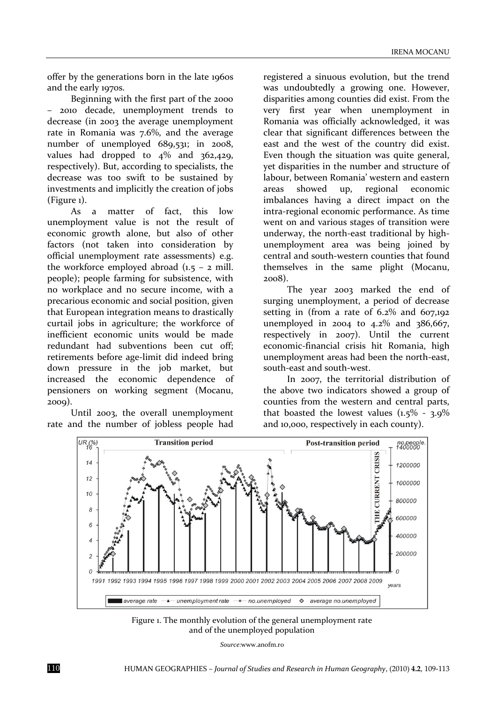offer by the generations born in the late 1960s and the early 1970s.

Beginning with the first part of the 2000 – 2010 decade, unemployment trends to decrease (in 2003 the average unemployment rate in Romania was 7.6%, and the average number of unemployed 689,531; in 2008, values had dropped to  $4\%$  and  $362,429$ , respectively). But, according to specialists, the decrease was too swift to be sustained by investments and implicitly the creation of jobs (Figure 1).

As a matter of fact, this low unemployment value is not the result of economic growth alone, but also of other factors (not taken into consideration by official unemployment rate assessments) e.g. the workforce employed abroad  $(1.5 - 2$  mill. people); people farming for subsistence, with no workplace and no secure income, with a precarious economic and social position, given that European integration means to drastically curtail jobs in agriculture; the workforce of inefficient economic units would be made redundant had subventions been cut off; retirements before age-limit did indeed bring down pressure in the job market, but increased the economic dependence of pensioners on working segment (Mocanu, 2009).

Until 2003, the overall unemployment rate and the number of jobless people had

registered a sinuous evolution, but the trend was undoubtedly a growing one. However, disparities among counties did exist. From the very first year when unemployment in Romania was officially acknowledged, it was clear that significant differences between the east and the west of the country did exist. Even though the situation was quite general, yet disparities in the number and structure of labour, between Romania' western and eastern areas showed up, regional economic imbalances having a direct impact on the intra-regional economic performance. As time went on and various stages of transition were underway, the north-east traditional by highunemployment area was being joined by central and south-western counties that found themselves in the same plight (Mocanu, 2008).

The year 2003 marked the end of surging unemployment, a period of decrease setting in (from a rate of  $6.2\%$  and  $607,192$ unemployed in 2004 to  $4.2\%$  and  $386,667$ , respectively in 2007). Until the current economic-financial crisis hit Romania, high unemployment areas had been the north-east, south-east and south-west.

In 2007, the territorial distribution of the above two indicators showed a group of counties from the western and central parts, that boasted the lowest values  $(1.5\% - 3.9\%)$ and 10,000, respectively in each county).



Figure 1. The monthly evolution of the general unemployment rate and of the unemployed population

*Source:*[www.anofm.ro](http://www.anofm.ro/)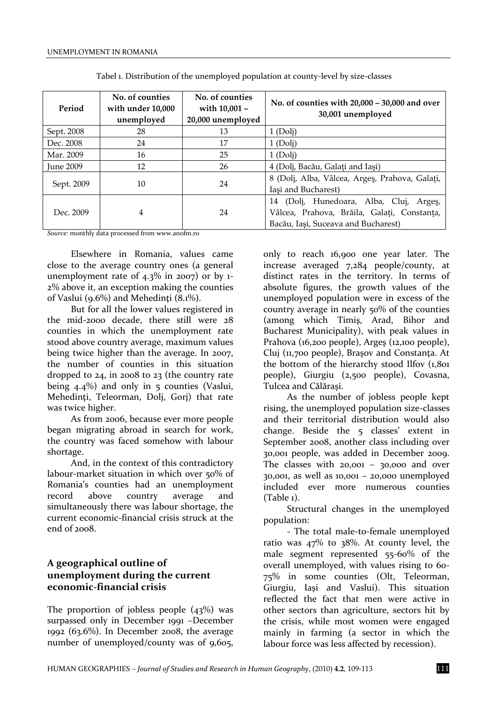| Period           | No. of counties<br>with under 10,000<br>unemployed | No. of counties<br>with 10,001 -<br>20,000 unemployed | No. of counties with $20,000 - 30,000$ and over<br>30,001 unemployed                                                             |
|------------------|----------------------------------------------------|-------------------------------------------------------|----------------------------------------------------------------------------------------------------------------------------------|
| Sept. 2008       | 28                                                 | 13                                                    | 1(Doli)                                                                                                                          |
| Dec. 2008        | 24                                                 | 17                                                    | 1(Doli)                                                                                                                          |
| Mar. 2009        | 16                                                 | 25                                                    | 1(Doli)                                                                                                                          |
| <b>June 2009</b> | 12                                                 | 26                                                    | 4 (Dolj, Bacău, Galați and Iași)                                                                                                 |
| Sept. 2009       | 10                                                 | 24                                                    | 8 (Dolj, Alba, Vâlcea, Argeş, Prahova, Galați,<br>Iași and Bucharest)                                                            |
| Dec. 2009        | 4                                                  | 24                                                    | (Dolj, Hunedoara, Alba, Cluj, Argeş,<br>14<br>Vâlcea, Prahova, Brăila, Galați, Constanța,<br>Bacău, Iași, Suceava and Bucharest) |

Tabel 1. Distribution of the unemployed population at county-level by size-classes

*Source:* monthly data processed fro[m www.anofm.ro](http://www.anofm.ro/)

Elsewhere in Romania, values came close to the average country ones (a general unemployment rate of  $4.3\%$  in 2007) or by 1-2% above it, an exception making the counties of Vaslui (9.6%) and Mehedinti  $(8.1\%)$ .

But for all the lower values registered in the mid-2000 decade, there still were 28 counties in which the unemployment rate stood above country average, maximum values being twice higher than the average. In 2007, the number of counties in this situation dropped to 24, in 2008 to 23 (the country rate being  $4.4\%$ ) and only in  $5$  counties (Vaslui, Mehedinţi, Teleorman, Dolj, Gorj) that rate was twice higher.

As from 2006, because ever more people began migrating abroad in search for work, the country was faced somehow with labour shortage.

And, in the context of this contradictory labour-market situation in which over 50% of Romania's counties had an unemployment record above country average and simultaneously there was labour shortage, the current economic-financial crisis struck at the  $end of 2008$ 

#### **A geographical outline of unemployment during the current economic-financial crisis**

The proportion of jobless people  $(43\%)$  was surpassed only in December 1991 –December 1992 (63.6%). In December 2008, the average number of unemployed/county was of 9,605,

only to reach 16,900 one year later. The increase averaged 7,284 people/county, at distinct rates in the territory. In terms of absolute figures, the growth values of the unemployed population were in excess of the country average in nearly 50% of the counties (among which Timiş, Arad, Bihor and Bucharest Municipality), with peak values in Prahova (16,200 people), Argeş (12,100 people), Cluj (11,700 people), Braşov and Constanţa. At the bottom of the hierarchy stood Ilfov (1,801 people), Giurgiu (2,500 people), Covasna, Tulcea and Călăraşi.

As the number of jobless people kept rising, the unemployed population size-classes and their territorial distribution would also change. Beside the 5 classes' extent in September 2008, another class including over 30,001 people, was added in December 2009. The classes with 20,001 – 30,000 and over 30,001, as well as 10,001 – 20,000 unemployed included ever more numerous counties (Table 1).

Structural changes in the unemployed population:

- The total male-to-female unemployed ratio was 47% to 38%. At county level, the male segment represented 55-60% of the overall unemployed, with values rising to 60- 75% in some counties (Olt, Teleorman, Giurgiu, Iaşi and Vaslui). This situation reflected the fact that men were active in other sectors than agriculture, sectors hit by the crisis, while most women were engaged mainly in farming (a sector in which the labour force was less affected by recession).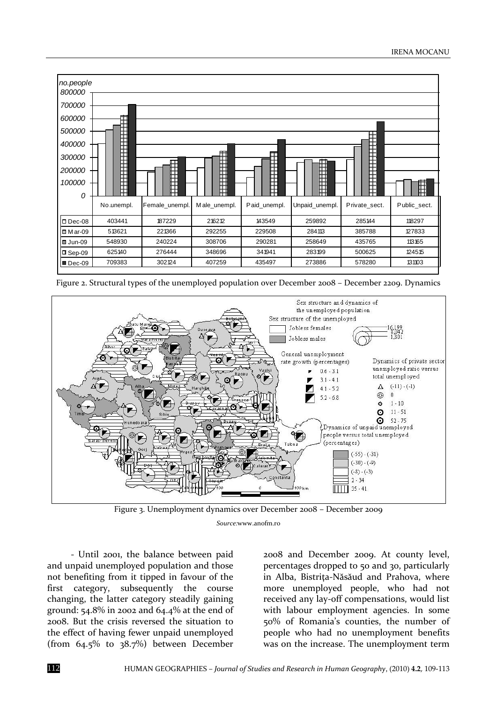

Figure 2. Structural types of the unemployed population over December 2008 – December 2209. Dynamics



Figure 3. Unemployment dynamics over December 2008 – December 2009 *Source:*[www.anofm.ro](http://www.anofm.ro/)

- Until 2001, the balance between paid and unpaid unemployed population and those not benefiting from it tipped in favour of the first category, subsequently the course changing, the latter category steadily gaining ground: 54.8% in 2002 and 64.4% at the end of 2008. But the crisis reversed the situation to the effect of having fewer unpaid unemployed (from 64.5% to 38.7%) between December

2008 and December 2009. At county level, percentages dropped to 50 and 30, particularly in Alba, Bistriţa-Năsăud and Prahova, where more unemployed people, who had not received any lay-off compensations, would list with labour employment agencies. In some 50% of Romania's counties, the number of people who had no unemployment benefits was on the increase. The unemployment term